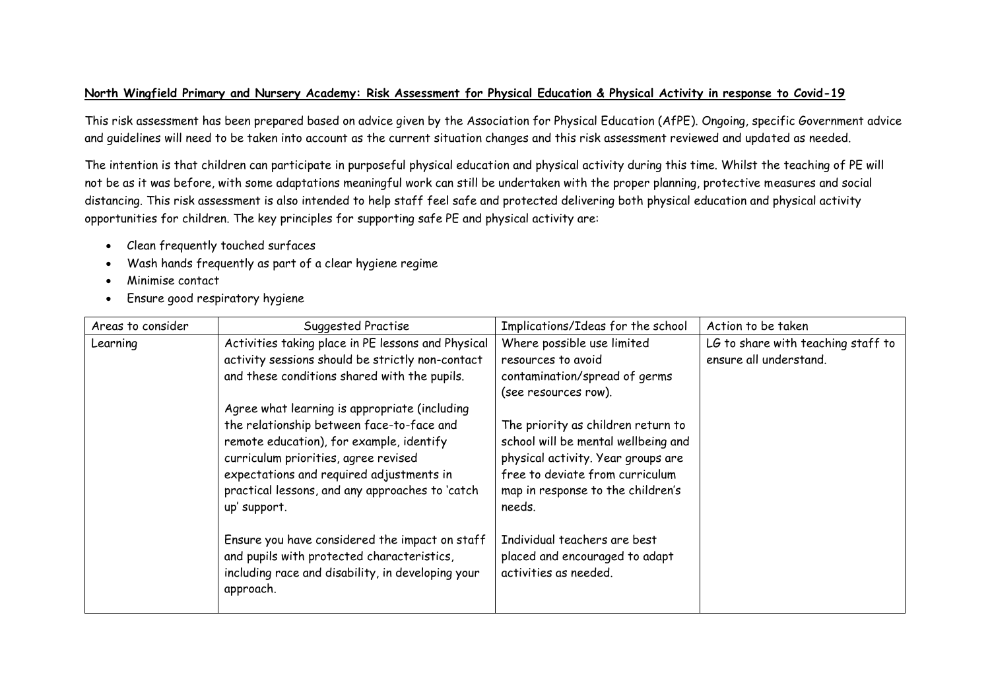## **North Wingfield Primary and Nursery Academy: Risk Assessment for Physical Education & Physical Activity in response to Covid-19**

This risk assessment has been prepared based on advice given by the Association for Physical Education (AfPE). Ongoing, specific Government advice and guidelines will need to be taken into account as the current situation changes and this risk assessment reviewed and updated as needed.

The intention is that children can participate in purposeful physical education and physical activity during this time. Whilst the teaching of PE will not be as it was before, with some adaptations meaningful work can still be undertaken with the proper planning, protective measures and social distancing. This risk assessment is also intended to help staff feel safe and protected delivering both physical education and physical activity opportunities for children. The key principles for supporting safe PE and physical activity are:

- Clean frequently touched surfaces
- Wash hands frequently as part of a clear hygiene regime
- Minimise contact
- Ensure good respiratory hygiene

| Areas to consider | Suggested Practise                                 | Implications/Ideas for the school   | Action to be taken                 |
|-------------------|----------------------------------------------------|-------------------------------------|------------------------------------|
| Learning          | Activities taking place in PE lessons and Physical | Where possible use limited          | LG to share with teaching staff to |
|                   | activity sessions should be strictly non-contact   | resources to avoid                  | ensure all understand.             |
|                   | and these conditions shared with the pupils.       | contamination/spread of germs       |                                    |
|                   |                                                    | (see resources row).                |                                    |
|                   | Agree what learning is appropriate (including      |                                     |                                    |
|                   | the relationship between face-to-face and          | The priority as children return to  |                                    |
|                   | remote education), for example, identify           | school will be mental wellbeing and |                                    |
|                   | curriculum priorities, agree revised               | physical activity. Year groups are  |                                    |
|                   | expectations and required adjustments in           | free to deviate from curriculum     |                                    |
|                   | practical lessons, and any approaches to 'catch    | map in response to the children's   |                                    |
|                   | up' support.                                       | needs.                              |                                    |
|                   |                                                    |                                     |                                    |
|                   | Ensure you have considered the impact on staff     | Individual teachers are best        |                                    |
|                   | and pupils with protected characteristics,         | placed and encouraged to adapt      |                                    |
|                   | including race and disability, in developing your  | activities as needed.               |                                    |
|                   | approach.                                          |                                     |                                    |
|                   |                                                    |                                     |                                    |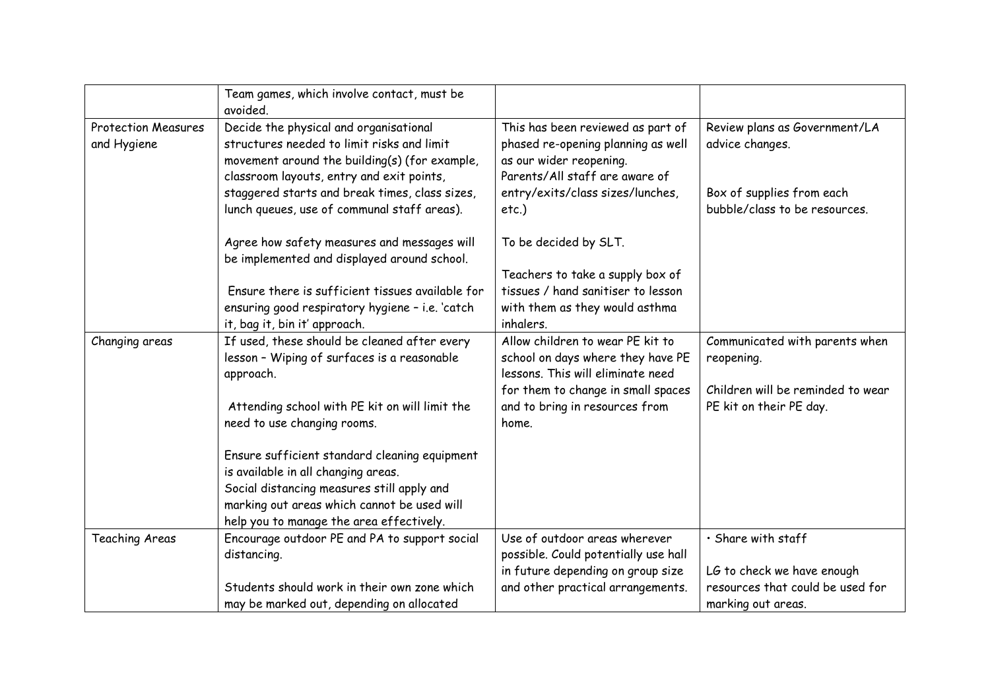|                                           | Team games, which involve contact, must be<br>avoided.                                                                                                                             |                                                                                                                                      |                                                            |
|-------------------------------------------|------------------------------------------------------------------------------------------------------------------------------------------------------------------------------------|--------------------------------------------------------------------------------------------------------------------------------------|------------------------------------------------------------|
| <b>Protection Measures</b><br>and Hygiene | Decide the physical and organisational<br>structures needed to limit risks and limit<br>movement around the building(s) (for example,<br>classroom layouts, entry and exit points, | This has been reviewed as part of<br>phased re-opening planning as well<br>as our wider reopening.<br>Parents/All staff are aware of | Review plans as Government/LA<br>advice changes.           |
|                                           | staggered starts and break times, class sizes,<br>lunch queues, use of communal staff areas).                                                                                      | entry/exits/class sizes/lunches,<br>$etc.$ )                                                                                         | Box of supplies from each<br>bubble/class to be resources. |
|                                           | Agree how safety measures and messages will<br>be implemented and displayed around school.                                                                                         | To be decided by SLT.                                                                                                                |                                                            |
|                                           | Ensure there is sufficient tissues available for                                                                                                                                   | Teachers to take a supply box of<br>tissues / hand sanitiser to lesson                                                               |                                                            |
|                                           | ensuring good respiratory hygiene - i.e. 'catch                                                                                                                                    | with them as they would asthma                                                                                                       |                                                            |
|                                           | it, bag it, bin it' approach.                                                                                                                                                      | inhalers.                                                                                                                            |                                                            |
| Changing areas                            | If used, these should be cleaned after every<br>lesson - Wiping of surfaces is a reasonable<br>approach.                                                                           | Allow children to wear PE kit to<br>school on days where they have PE<br>lessons. This will eliminate need                           | Communicated with parents when<br>reopening.               |
|                                           |                                                                                                                                                                                    | for them to change in small spaces                                                                                                   | Children will be reminded to wear                          |
|                                           | Attending school with PE kit on will limit the<br>need to use changing rooms.                                                                                                      | and to bring in resources from<br>home.                                                                                              | PE kit on their PE day.                                    |
|                                           | Ensure sufficient standard cleaning equipment<br>is available in all changing areas.                                                                                               |                                                                                                                                      |                                                            |
|                                           | Social distancing measures still apply and<br>marking out areas which cannot be used will<br>help you to manage the area effectively.                                              |                                                                                                                                      |                                                            |
| <b>Teaching Areas</b>                     | Encourage outdoor PE and PA to support social<br>distancing.                                                                                                                       | Use of outdoor areas wherever<br>possible. Could potentially use hall                                                                | · Share with staff                                         |
|                                           |                                                                                                                                                                                    | in future depending on group size                                                                                                    | LG to check we have enough                                 |
|                                           | Students should work in their own zone which                                                                                                                                       | and other practical arrangements.                                                                                                    | resources that could be used for                           |
|                                           | may be marked out, depending on allocated                                                                                                                                          |                                                                                                                                      | marking out areas.                                         |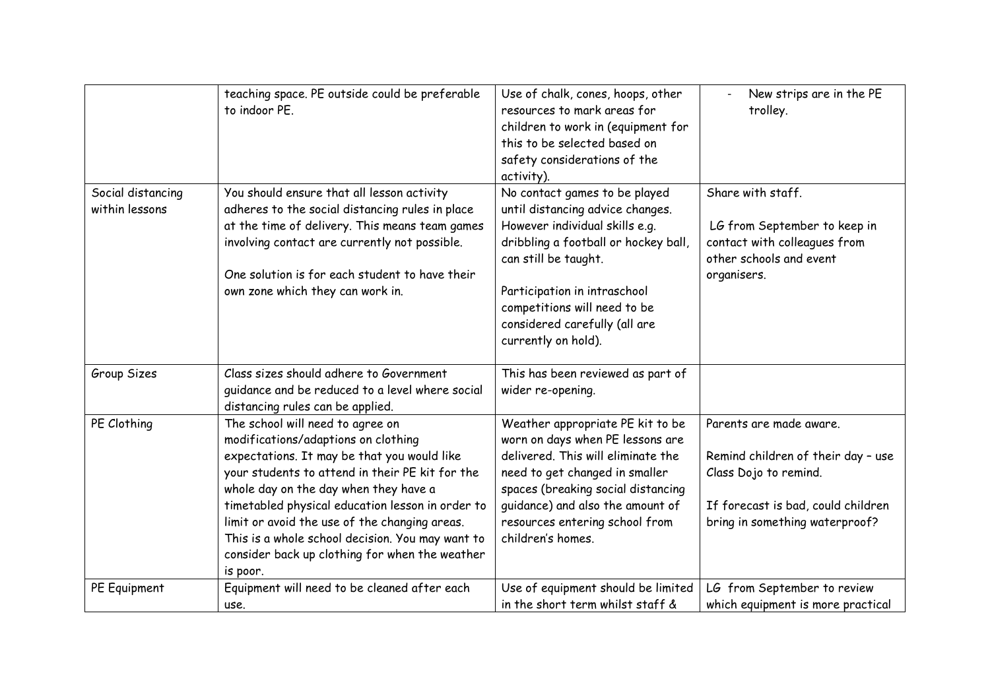|                                     | teaching space. PE outside could be preferable<br>to indoor PE.                                                                                                                                                                                                                                                                                                                                                                           | Use of chalk, cones, hoops, other<br>resources to mark areas for<br>children to work in (equipment for<br>this to be selected based on<br>safety considerations of the<br>activity).                                                                                                        | New strips are in the PE<br>trolley.                                                                                                                           |
|-------------------------------------|-------------------------------------------------------------------------------------------------------------------------------------------------------------------------------------------------------------------------------------------------------------------------------------------------------------------------------------------------------------------------------------------------------------------------------------------|---------------------------------------------------------------------------------------------------------------------------------------------------------------------------------------------------------------------------------------------------------------------------------------------|----------------------------------------------------------------------------------------------------------------------------------------------------------------|
| Social distancing<br>within lessons | You should ensure that all lesson activity<br>adheres to the social distancing rules in place<br>at the time of delivery. This means team games<br>involving contact are currently not possible.<br>One solution is for each student to have their<br>own zone which they can work in.                                                                                                                                                    | No contact games to be played<br>until distancing advice changes.<br>However individual skills e.g.<br>dribbling a football or hockey ball,<br>can still be taught.<br>Participation in intraschool<br>competitions will need to be<br>considered carefully (all are<br>currently on hold). | Share with staff.<br>LG from September to keep in<br>contact with colleagues from<br>other schools and event<br>organisers.                                    |
| Group Sizes                         | Class sizes should adhere to Government<br>guidance and be reduced to a level where social<br>distancing rules can be applied.                                                                                                                                                                                                                                                                                                            | This has been reviewed as part of<br>wider re-opening.                                                                                                                                                                                                                                      |                                                                                                                                                                |
| PE Clothing                         | The school will need to agree on<br>modifications/adaptions on clothing<br>expectations. It may be that you would like<br>your students to attend in their PE kit for the<br>whole day on the day when they have a<br>timetabled physical education lesson in order to<br>limit or avoid the use of the changing areas.<br>This is a whole school decision. You may want to<br>consider back up clothing for when the weather<br>is poor. | Weather appropriate PE kit to be<br>worn on days when PE lessons are<br>delivered. This will eliminate the<br>need to get changed in smaller<br>spaces (breaking social distancing<br>guidance) and also the amount of<br>resources entering school from<br>children's homes.               | Parents are made aware.<br>Remind children of their day - use<br>Class Dojo to remind.<br>If forecast is bad, could children<br>bring in something waterproof? |
| PE Equipment                        | Equipment will need to be cleaned after each<br>use.                                                                                                                                                                                                                                                                                                                                                                                      | Use of equipment should be limited<br>in the short term whilst staff &                                                                                                                                                                                                                      | LG from September to review<br>which equipment is more practical                                                                                               |